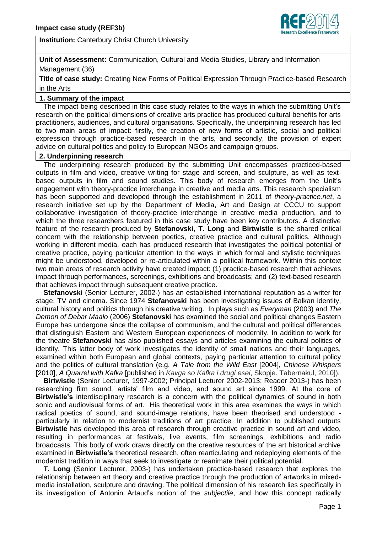

**Institution:** Canterbury Christ Church University

**Unit of Assessment:** Communication, Cultural and Media Studies, Library and Information Management (36)

**Title of case study:** Creating New Forms of Political Expression Through Practice-based Research in the Arts

# **1. Summary of the impact**

 The impact being described in this case study relates to the ways in which the submitting Unit"s research on the political dimensions of creative arts practice has produced cultural benefits for arts practitioners, audiences, and cultural organisations. Specifically, the underpinning research has led to two main areas of impact: firstly, the creation of new forms of artistic, social and political expression through practice-based research in the arts, and secondly, the provision of expert advice on cultural politics and policy to European NGOs and campaign groups.

### **2. Underpinning research**

 The underpinning research produced by the submitting Unit encompasses practiced-based outputs in film and video, creative writing for stage and screen, and sculpture, as well as textbased outputs in film and sound studies. This body of research emerges from the Unit"s engagement with theory-practice interchange in creative and media arts. This research specialism has been supported and developed through the establishment in 2011 of *theory-practice.net*, a research initiative set up by the Department of Media, Art and Design at CCCU to support collaborative investigation of theory-practice interchange in creative media production, and to which the three researchers featured in this case study have been key contributors. A distinctive feature of the research produced by **Stefanovski**, **T. Long** and **Birtwistle** is the shared critical concern with the relationship between poetics, creative practice and cultural politics. Although working in different media, each has produced research that investigates the political potential of creative practice, paying particular attention to the ways in which formal and stylistic techniques might be understood, developed or re-articulated within a political framework. Within this context two main areas of research activity have created impact: (1) practice-based research that achieves impact through performances, screenings, exhibitions and broadcasts; and (2) text-based research that achieves impact through subsequent creative practice.

 **Stefanovski** (Senior Lecturer, 2002-) has an established international reputation as a writer for stage, TV and cinema. Since 1974 **Stefanovski** has been investigating issues of Balkan identity, cultural history and politics through his creative writing. In plays such as *Everyman* (2003) and *The Demon of Debar Maalo* (2006) **Stefanovski** has examined the social and political changes Eastern Europe has undergone since the collapse of communism, and the cultural and political differences that distinguish Eastern and Western European experiences of modernity. In addition to work for the theatre **Stefanovski** has also published essays and articles examining the cultural politics of identity. This latter body of work investigates the identity of small nations and their languages, examined within both European and global contexts, paying particular attention to cultural policy and the politics of cultural translation (e.g. *A Tale from the Wild East* [2004], *Chinese Whispers* [2010], *A Quarrel with Kafka* [published in *Kavga so Kafka i drugi esei*, Skopje. Tabernakul, 2010]).

 **Birtwistle** (Senior Lecturer, 1997-2002; Principal Lecturer 2002-2013; Reader 2013-) has been researching film sound, artists" film and video, and sound art since 1999. At the core of **Birtwistle's** interdisciplinary research is a concern with the political dynamics of sound in both sonic and audiovisual forms of art. His theoretical work in this area examines the ways in which radical poetics of sound, and sound-image relations, have been theorised and understood particularly in relation to modernist traditions of art practice. In addition to published outputs **Birtwistle** has developed this area of research through creative practice in sound art and video, resulting in performances at festivals, live events, film screenings, exhibitions and radio broadcasts. This body of work draws directly on the creative resources of the art historical archive examined in **Birtwistle's** theoretical research, often rearticulating and redeploying elements of the modernist tradition in ways that seek to investigate or reanimate their political potential.

 **T. Long** (Senior Lecturer, 2003-) has undertaken practice-based research that explores the relationship between art theory and creative practice through the production of artworks in mixedmedia installation, sculpture and drawing. The political dimension of his research lies specifically in its investigation of Antonin Artaud's notion of the *subjectile*, and how this concept radically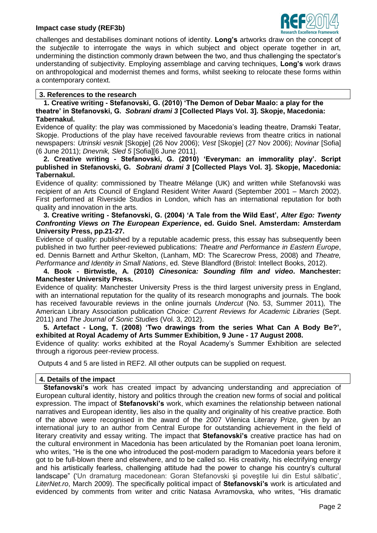## **Impact case study (REF3b)**



challenges and destabilises dominant notions of identity. **Long's** artworks draw on the concept of the *subjectile* to interrogate the ways in which subject and object operate together in art, undermining the distinction commonly drawn between the two, and thus challenging the spectator"s understanding of subjectivity. Employing assemblage and carving techniques, **Long's** work draws on anthropological and modernist themes and forms, whilst seeking to relocate these forms within a contemporary context.

## **3. References to the research**

 **1. Creative writing - Stefanovski, G. (2010) 'The Demon of Debar Maalo: a play for the theatre' in Stefanovski, G.** *Sobrani drami 3* **[Collected Plays Vol. 3]. Skopje, Macedonia: Tabernakul.**

Evidence of quality: the play was commissioned by Macedonia"s leading theatre, Dramski Teatar, Skopje. Productions of the play have received favourable reviews from theatre critics in national newspapers: *Utrinski vesnik* [Skopje] (26 Nov 2006); *Vest* [Skopje] (27 Nov 2006); *Novinar* [Sofia] (6 June 2011); *Dnevnik, Sled 5* [Sofia][6 June 2011].

 **2. Creative writing - Stefanovski, G. (2010) 'Everyman: an immorality play'. Script published in Stefanovski, G.** *Sobrani drami 3* **[Collected Plays Vol. 3]. Skopje, Macedonia: Tabernakul.**

Evidence of quality: commissioned by Theatre Mélange (UK) and written while Stefanovski was recipient of an Arts Council of England Resident Writer Award (September 2001 – March 2002). First performed at Riverside Studios in London, which has an international reputation for both quality and innovation in the arts.

#### **3. Creative writing - Stefanovski, G. (2004) 'A Tale from the Wild East',** *Alter Ego: Twenty Confronting Views on The European Experience***, ed. Guido Snel. Amsterdam: Amsterdam University Press, pp.21-27.**

Evidence of quality: published by a reputable academic press, this essay has subsequently been published in two further peer-reviewed publications: *Theatre and Performance in Eastern Europe*, ed. Dennis Barnett and Arthur Skelton, (Lanham, MD: The Scarecrow Press, 2008) and *Theatre, Performance and Identity in Small Nations*, ed. Steve Blandford (Bristol: Intellect Books, 2012).

 **4. Book - Birtwistle, A. (2010)** *Cinesonica: Sounding film and video***. Manchester: Manchester University Press.**

Evidence of quality: Manchester University Press is the third largest university press in England, with an international reputation for the quality of its research monographs and journals. The book has received favourable reviews in the online journals *Undercut* (No. 53, Summer 2011)*,* The American Library Association publication *Choice: Current Reviews for Academic Libraries* (Sept. 2011) and *The Journal of Sonic Studies* (Vol. 3, 2012).

 **5. Artefact - Long, T. (2008) 'Two drawings from the series What Can A Body Be?', exhibited at Royal Academy of Arts Summer Exhibition, 9 June - 17 August 2008.**

Evidence of quality: works exhibited at the Royal Academy"s Summer Exhibition are selected through a rigorous peer-review process.

Outputs 4 and 5 are listed in REF2. All other outputs can be supplied on request.

# **4. Details of the impact**

 **Stefanovski's** work has created impact by advancing understanding and appreciation of European cultural identity, history and politics through the creation new forms of social and political expression. The impact of **Stefanovski's** work, which examines the relationship between national narratives and European identity, lies also in the quality and originality of his creative practice. Both of the above were recognised in the award of the 2007 Vilenica Literary Prize, given by an international jury to an author from Central Europe for outstanding achievement in the field of literary creativity and essay writing. The impact that **Stefanovski's** creative practice has had on the cultural environment in Macedonia has been articulated by the Romanian poet Ioana Ieronim, who writes, "He is the one who introduced the post-modern paradigm to Macedonia years before it got to be full-blown there and elsewhere, and to be called so. His creativity, his electrifying energy and his artistically fearless, challenging attitude had the power to change his country"s cultural landscape" ('Un dramaturg macedonean: Goran Stefanovski și poveștile lui din Estul sălbatic', *LiterNet.ro*, March 2009). The specifically political impact of **Stefanovski's** work is articulated and evidenced by comments from writer and critic Natasa Avramovska, who writes, "His dramatic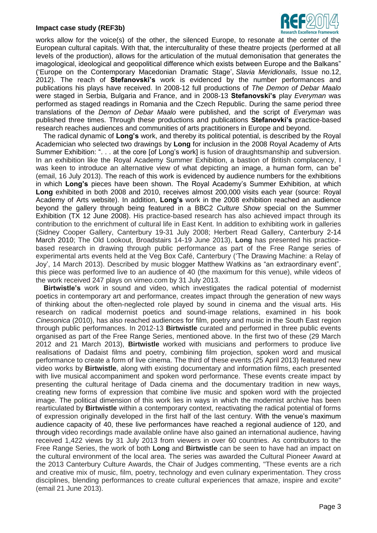#### **Impact case study (REF3b)**



works allow for the voice(s) of the other, the silenced Europe, to resonate at the center of the European cultural capitals. With that, the interculturality of these theatre projects (performed at all levels of the production), allows for the articulation of the mutual demonisation that generates the imagological, ideological and geopolitical difference which exists between Europe and the Balkans" ("Europe on the Contemporary Macedonian Dramatic Stage", *Slavia Meridionalis,* Issue no.12, 2012). The reach of **Stefanovski's** work is evidenced by the number performances and publications his plays have received. In 2008-12 full productions of *The Demon of Debar Maalo* were staged in Serbia, Bulgaria and France, and in 2008-13 **Stefanovski's** play *Everyman* was performed as staged readings in Romania and the Czech Republic. During the same period three translations of the *Demon of Debar Maalo* were published, and the script of *Everyman* was published three times. Through these productions and publications **Stefanovki's** practice-based research reaches audiences and communities of arts practitioners in Europe and beyond.

 The radical dynamic of **Long's** work, and thereby its political potential, is described by the Royal Academician who selected two drawings by **Long** for inclusion in the 2008 Royal Academy of Arts Summer Exhibition: ". . . at the core [of Long"s work] is fusion of draughtsmanship and subversion. In an exhibition like the Royal Academy Summer Exhibition, a bastion of British complacency, I was keen to introduce an alternative view of what depicting an image, a human form, can be" (email, 16 July 2013). The reach of this work is evidenced by audience numbers for the exhibitions in which **Long's** pieces have been shown. The Royal Academy"s Summer Exhibition, at which **Long** exhibited in both 2008 and 2010, receives almost 200,000 visits each year (source: Royal Academy of Arts website). In addition, **Long's** work in the 2008 exhibition reached an audience beyond the gallery through being featured in a BBC2 *Culture Show* special on the Summer Exhibition (TX 12 June 2008). His practice-based research has also achieved impact through its contribution to the enrichment of cultural life in East Kent. In addition to exhibiting work in galleries (Sidney Cooper Gallery, Canterbury 19-31 July 2008; Herbert Read Gallery, Canterbury 2-14 March 2010; The Old Lookout, Broadstairs 14-19 June 2013), **Long** has presented his practicebased research in drawing through public performance as part of the Free Range series of experimental arts events held at the Veg Box Café, Canterbury ("The Drawing Machine: a Relay of Joy", 14 March 2013). Described by music blogger Matthew Watkins as "an extraordinary event", this piece was performed live to an audience of 40 (the maximum for this venue), while videos of the work received 247 plays on vimeo.com by 31 July 2013.

 **Birtwistle's** work in sound and video, which investigates the radical potential of modernist poetics in contemporary art and performance, creates impact through the generation of new ways of thinking about the often-neglected role played by sound in cinema and the visual arts. His research on radical modernist poetics and sound-image relations, examined in his book *Cinesonica* (2010), has also reached audiences for film, poetry and music in the South East region through public performances. In 2012-13 **Birtwistle** curated and performed in three public events organised as part of the Free Range Series, mentioned above. In the first two of these (29 March 2012 and 21 March 2013), **Birtwistle** worked with musicians and performers to produce live realisations of Dadaist films and poetry, combining film projection, spoken word and musical performance to create a form of live cinema. The third of these events (25 April 2013) featured new video works by **Birtwistle**, along with existing documentary and information films, each presented with live musical accompaniment and spoken word performance. These events create impact by presenting the cultural heritage of Dada cinema and the documentary tradition in new ways, creating new forms of expression that combine live music and spoken word with the projected image. The political dimension of this work lies in ways in which the modernist archive has been rearticulated by **Birtwistle** within a contemporary context, reactivating the radical potential of forms of expression originally developed in the first half of the last century. With the venue"s maximum audience capacity of 40, these live performances have reached a regional audience of 120, and through video recordings made available online have also gained an international audience, having received 1,422 views by 31 July 2013 from viewers in over 60 countries. As contributors to the Free Range Series, the work of both **Long** and **Birtwistle** can be seen to have had an impact on the cultural environment of the local area. The series was awarded the Cultural Pioneer Award at the 2013 Canterbury Culture Awards, the Chair of Judges commenting, "These events are a rich and creative mix of music, film, poetry, technology and even culinary experimentation. They cross disciplines, blending performances to create cultural experiences that amaze, inspire and excite" (email 21 June 2013).